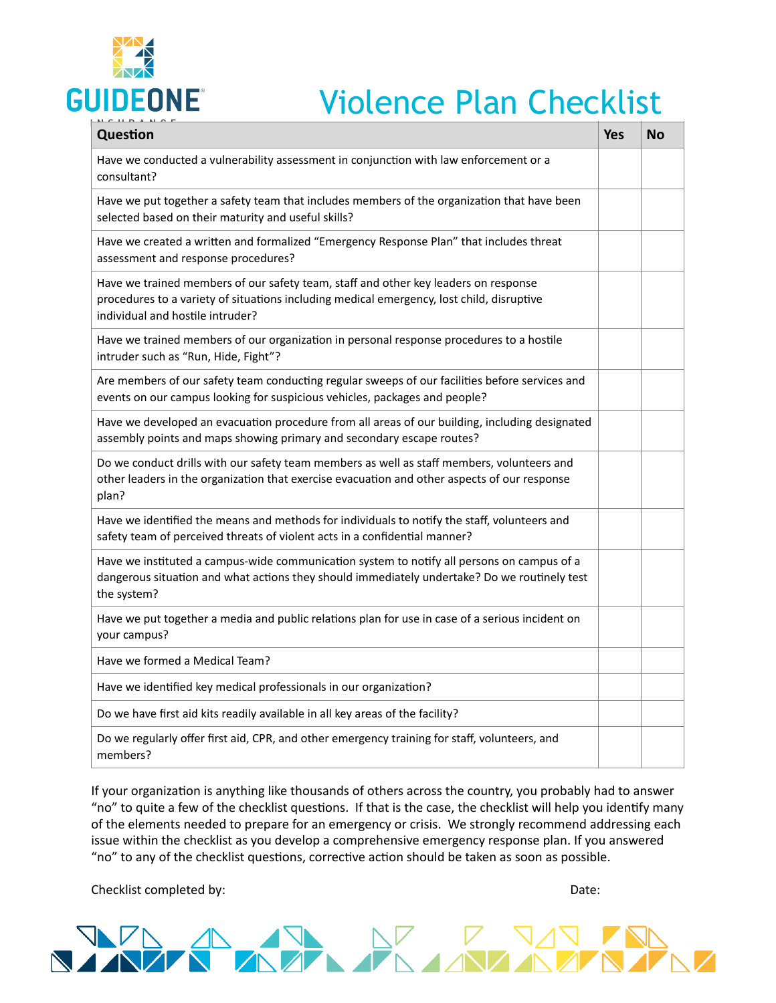

## Violence Plan Checklist

| Question                                                                                                                                                                                                             | <b>Yes</b> | No |
|----------------------------------------------------------------------------------------------------------------------------------------------------------------------------------------------------------------------|------------|----|
| Have we conducted a vulnerability assessment in conjunction with law enforcement or a<br>consultant?                                                                                                                 |            |    |
| Have we put together a safety team that includes members of the organization that have been<br>selected based on their maturity and useful skills?                                                                   |            |    |
| Have we created a written and formalized "Emergency Response Plan" that includes threat<br>assessment and response procedures?                                                                                       |            |    |
| Have we trained members of our safety team, staff and other key leaders on response<br>procedures to a variety of situations including medical emergency, lost child, disruptive<br>individual and hostile intruder? |            |    |
| Have we trained members of our organization in personal response procedures to a hostile<br>intruder such as "Run, Hide, Fight"?                                                                                     |            |    |
| Are members of our safety team conducting regular sweeps of our facilities before services and<br>events on our campus looking for suspicious vehicles, packages and people?                                         |            |    |
| Have we developed an evacuation procedure from all areas of our building, including designated<br>assembly points and maps showing primary and secondary escape routes?                                              |            |    |
| Do we conduct drills with our safety team members as well as staff members, volunteers and<br>other leaders in the organization that exercise evacuation and other aspects of our response<br>plan?                  |            |    |
| Have we identified the means and methods for individuals to notify the staff, volunteers and<br>safety team of perceived threats of violent acts in a confidential manner?                                           |            |    |
| Have we instituted a campus-wide communication system to notify all persons on campus of a<br>dangerous situation and what actions they should immediately undertake? Do we routinely test<br>the system?            |            |    |
| Have we put together a media and public relations plan for use in case of a serious incident on<br>your campus?                                                                                                      |            |    |
| Have we formed a Medical Team?                                                                                                                                                                                       |            |    |
| Have we identified key medical professionals in our organization?                                                                                                                                                    |            |    |
| Do we have first aid kits readily available in all key areas of the facility?                                                                                                                                        |            |    |
| Do we regularly offer first aid, CPR, and other emergency training for staff, volunteers, and<br>members?                                                                                                            |            |    |

If your organization is anything like thousands of others across the country, you probably had to answer "no" to quite a few of the checklist questions. If that is the case, the checklist will help you identify many of the elements needed to prepare for an emergency or crisis. We strongly recommend addressing each issue within the checklist as you develop a comprehensive emergency response plan. If you answered "no" to any of the checklist questions, corrective action should be taken as soon as possible.

Checklist completed by: **Branchist** Checklist completed by: **Date: Date: Date: Date: Date: Date: Date: Date: Date: Date: Date: Date: Date: Date: Date: Date: Date: Date: Date: Date: D**